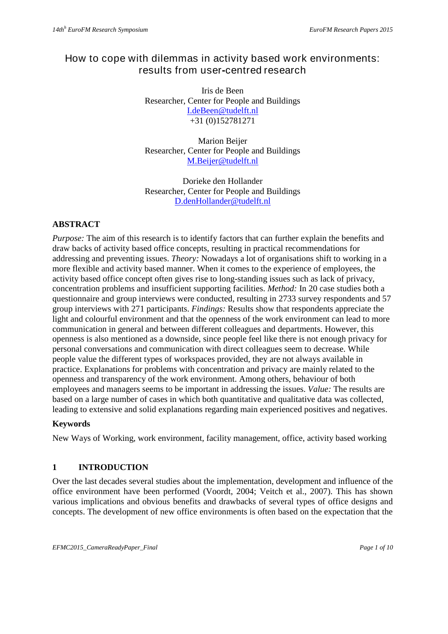# How to cope with dilemmas in activity based work environments: results from user**-**centred research

Iris de Been Researcher, Center for People and Buildings I.deBeen@tudelft.nl +31 (0)152781271

Marion Beijer Researcher, Center for People and Buildings M.Beijer@tudelft.nl

Dorieke den Hollander Researcher, Center for People and Buildings D.denHollander@tudelft.nl

## **ABSTRACT**

*Purpose:* The aim of this research is to identify factors that can further explain the benefits and draw backs of activity based office concepts, resulting in practical recommendations for addressing and preventing issues. *Theory:* Nowadays a lot of organisations shift to working in a more flexible and activity based manner. When it comes to the experience of employees, the activity based office concept often gives rise to long-standing issues such as lack of privacy, concentration problems and insufficient supporting facilities. *Method:* In 20 case studies both a questionnaire and group interviews were conducted, resulting in 2733 survey respondents and 57 group interviews with 271 participants. *Findings:* Results show that respondents appreciate the light and colourful environment and that the openness of the work environment can lead to more communication in general and between different colleagues and departments. However, this openness is also mentioned as a downside, since people feel like there is not enough privacy for personal conversations and communication with direct colleagues seem to decrease. While people value the different types of workspaces provided, they are not always available in practice. Explanations for problems with concentration and privacy are mainly related to the openness and transparency of the work environment. Among others, behaviour of both employees and managers seems to be important in addressing the issues. *Value:* The results are based on a large number of cases in which both quantitative and qualitative data was collected, leading to extensive and solid explanations regarding main experienced positives and negatives.

#### **Keywords**

New Ways of Working, work environment, facility management, office, activity based working

## **1 INTRODUCTION**

Over the last decades several studies about the implementation, development and influence of the office environment have been performed (Voordt, 2004; Veitch et al., 2007). This has shown various implications and obvious benefits and drawbacks of several types of office designs and concepts. The development of new office environments is often based on the expectation that the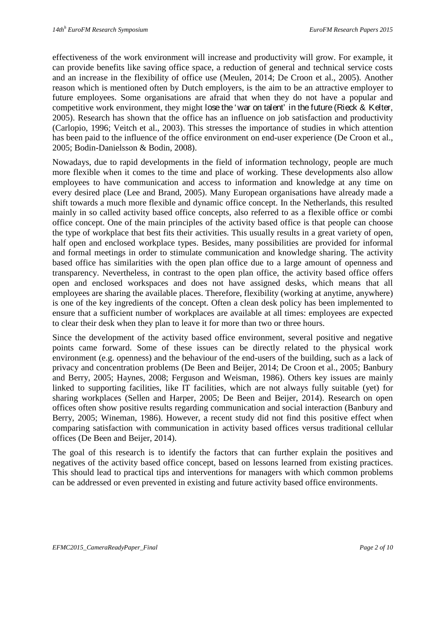effectiveness of the work environment will increase and productivity will grow. For example, it can provide benefits like saving office space, a reduction of general and technical service costs and an increase in the flexibility of office use (Meulen, 2014; De Croon et al., 2005). Another reason which is mentioned often by Dutch employers, is the aim to be an attractive employer to future employees. Some organisations are afraid that when they do not have a popular and competitive work environment, they might lose the 'war on talent' in the future (Rieck & Kelter, 2005). Research has shown that the office has an influence on job satisfaction and productivity (Carlopio, 1996; Veitch et al., 2003). This stresses the importance of studies in which attention has been paid to the influence of the office environment on end-user experience (De Croon et al., 2005; Bodin-Danielsson & Bodin, 2008).

Nowadays, due to rapid developments in the field of information technology, people are much more flexible when it comes to the time and place of working. These developments also allow employees to have communication and access to information and knowledge at any time on every desired place (Lee and Brand, 2005). Many European organisations have already made a shift towards a much more flexible and dynamic office concept. In the Netherlands, this resulted mainly in so called activity based office concepts, also referred to as a flexible office or combi office concept. One of the main principles of the activity based office is that people can choose the type of workplace that best fits their activities. This usually results in a great variety of open, half open and enclosed workplace types. Besides, many possibilities are provided for informal and formal meetings in order to stimulate communication and knowledge sharing. The activity based office has similarities with the open plan office due to a large amount of openness and transparency. Nevertheless, in contrast to the open plan office, the activity based office offers open and enclosed workspaces and does not have assigned desks, which means that all employees are sharing the available places. Therefore, flexibility (working at anytime, anywhere) is one of the key ingredients of the concept. Often a clean desk policy has been implemented to ensure that a sufficient number of workplaces are available at all times: employees are expected to clear their desk when they plan to leave it for more than two or three hours.

Since the development of the activity based office environment, several positive and negative points came forward. Some of these issues can be directly related to the physical work environment (e.g. openness) and the behaviour of the end-users of the building, such as a lack of privacy and concentration problems (De Been and Beijer, 2014; De Croon et al., 2005; Banbury and Berry, 2005; Haynes, 2008; Ferguson and Weisman, 1986). Others key issues are mainly linked to supporting facilities, like IT facilities, which are not always fully suitable (yet) for sharing workplaces (Sellen and Harper, 2005; De Been and Beijer, 2014). Research on open offices often show positive results regarding communication and social interaction (Banbury and Berry, 2005; Wineman, 1986). However, a recent study did not find this positive effect when comparing satisfaction with communication in activity based offices versus traditional cellular offices (De Been and Beijer, 2014).

The goal of this research is to identify the factors that can further explain the positives and negatives of the activity based office concept, based on lessons learned from existing practices. This should lead to practical tips and interventions for managers with which common problems can be addressed or even prevented in existing and future activity based office environments.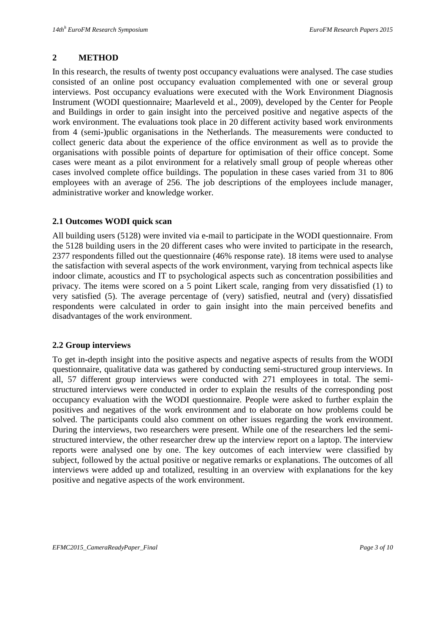#### **2 METHOD**

In this research, the results of twenty post occupancy evaluations were analysed. The case studies consisted of an online post occupancy evaluation complemented with one or several group interviews. Post occupancy evaluations were executed with the Work Environment Diagnosis Instrument (WODI questionnaire; Maarleveld et al., 2009), developed by the Center for People and Buildings in order to gain insight into the perceived positive and negative aspects of the work environment. The evaluations took place in 20 different activity based work environments from 4 (semi-)public organisations in the Netherlands. The measurements were conducted to collect generic data about the experience of the office environment as well as to provide the organisations with possible points of departure for optimisation of their office concept. Some cases were meant as a pilot environment for a relatively small group of people whereas other cases involved complete office buildings. The population in these cases varied from 31 to 806 employees with an average of 256. The job descriptions of the employees include manager, administrative worker and knowledge worker.

#### **2.1 Outcomes WODI quick scan**

All building users (5128) were invited via e-mail to participate in the WODI questionnaire. From the 5128 building users in the 20 different cases who were invited to participate in the research, 2377 respondents filled out the questionnaire (46% response rate). 18 items were used to analyse the satisfaction with several aspects of the work environment, varying from technical aspects like indoor climate, acoustics and IT to psychological aspects such as concentration possibilities and privacy. The items were scored on a 5 point Likert scale, ranging from very dissatisfied (1) to very satisfied (5). The average percentage of (very) satisfied, neutral and (very) dissatisfied respondents were calculated in order to gain insight into the main perceived benefits and disadvantages of the work environment.

#### **2.2 Group interviews**

To get in-depth insight into the positive aspects and negative aspects of results from the WODI questionnaire, qualitative data was gathered by conducting semi-structured group interviews. In all, 57 different group interviews were conducted with 271 employees in total. The semistructured interviews were conducted in order to explain the results of the corresponding post occupancy evaluation with the WODI questionnaire. People were asked to further explain the positives and negatives of the work environment and to elaborate on how problems could be solved. The participants could also comment on other issues regarding the work environment. During the interviews, two researchers were present. While one of the researchers led the semistructured interview, the other researcher drew up the interview report on a laptop. The interview reports were analysed one by one. The key outcomes of each interview were classified by subject, followed by the actual positive or negative remarks or explanations. The outcomes of all interviews were added up and totalized, resulting in an overview with explanations for the key positive and negative aspects of the work environment.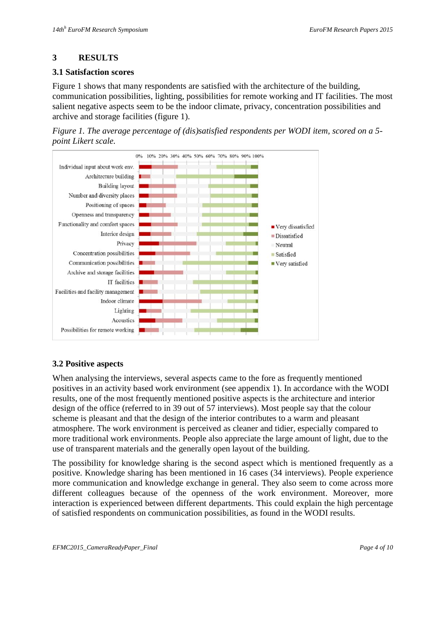## **3 RESULTS**

#### **3.1 Satisfaction scores**

Figure 1 shows that many respondents are satisfied with the architecture of the building, communication possibilities, lighting, possibilities for remote working and IT facilities. The most salient negative aspects seem to be the indoor climate, privacy, concentration possibilities and archive and storage facilities (figure 1).





### **3.2 Positive aspects**

When analysing the interviews, several aspects came to the fore as frequently mentioned positives in an activity based work environment (see appendix 1). In accordance with the WODI results, one of the most frequently mentioned positive aspects is the architecture and interior design of the office (referred to in 39 out of 57 interviews). Most people say that the colour scheme is pleasant and that the design of the interior contributes to a warm and pleasant atmosphere. The work environment is perceived as cleaner and tidier, especially compared to more traditional work environments. People also appreciate the large amount of light, due to the use of transparent materials and the generally open layout of the building.

The possibility for knowledge sharing is the second aspect which is mentioned frequently as a positive. Knowledge sharing has been mentioned in 16 cases (34 interviews). People experience more communication and knowledge exchange in general. They also seem to come across more different colleagues because of the openness of the work environment. Moreover, more interaction is experienced between different departments. This could explain the high percentage of satisfied respondents on communication possibilities, as found in the WODI results.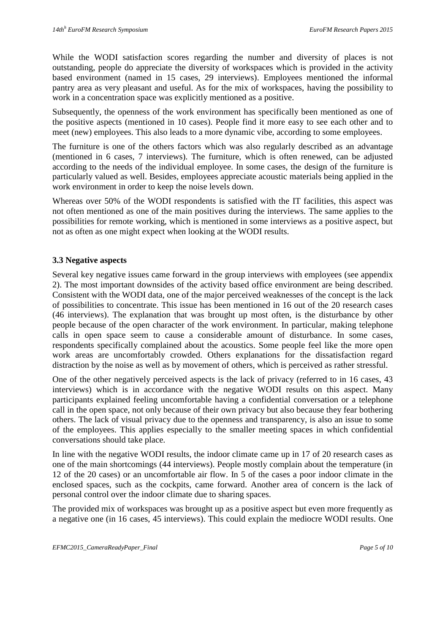While the WODI satisfaction scores regarding the number and diversity of places is not outstanding, people do appreciate the diversity of workspaces which is provided in the activity based environment (named in 15 cases, 29 interviews). Employees mentioned the informal pantry area as very pleasant and useful. As for the mix of workspaces, having the possibility to work in a concentration space was explicitly mentioned as a positive.

Subsequently, the openness of the work environment has specifically been mentioned as one of the positive aspects (mentioned in 10 cases). People find it more easy to see each other and to meet (new) employees. This also leads to a more dynamic vibe, according to some employees.

The furniture is one of the others factors which was also regularly described as an advantage (mentioned in 6 cases, 7 interviews). The furniture, which is often renewed, can be adjusted according to the needs of the individual employee. In some cases, the design of the furniture is particularly valued as well. Besides, employees appreciate acoustic materials being applied in the work environment in order to keep the noise levels down.

Whereas over 50% of the WODI respondents is satisfied with the IT facilities, this aspect was not often mentioned as one of the main positives during the interviews. The same applies to the possibilities for remote working, which is mentioned in some interviews as a positive aspect, but not as often as one might expect when looking at the WODI results.

#### **3.3 Negative aspects**

Several key negative issues came forward in the group interviews with employees (see appendix 2). The most important downsides of the activity based office environment are being described. Consistent with the WODI data, one of the major perceived weaknesses of the concept is the lack of possibilities to concentrate. This issue has been mentioned in 16 out of the 20 research cases (46 interviews). The explanation that was brought up most often, is the disturbance by other people because of the open character of the work environment. In particular, making telephone calls in open space seem to cause a considerable amount of disturbance. In some cases, respondents specifically complained about the acoustics. Some people feel like the more open work areas are uncomfortably crowded. Others explanations for the dissatisfaction regard distraction by the noise as well as by movement of others, which is perceived as rather stressful.

One of the other negatively perceived aspects is the lack of privacy (referred to in 16 cases, 43 interviews) which is in accordance with the negative WODI results on this aspect. Many participants explained feeling uncomfortable having a confidential conversation or a telephone call in the open space, not only because of their own privacy but also because they fear bothering others. The lack of visual privacy due to the openness and transparency, is also an issue to some of the employees. This applies especially to the smaller meeting spaces in which confidential conversations should take place.

In line with the negative WODI results, the indoor climate came up in 17 of 20 research cases as one of the main shortcomings (44 interviews). People mostly complain about the temperature (in 12 of the 20 cases) or an uncomfortable air flow. In 5 of the cases a poor indoor climate in the enclosed spaces, such as the cockpits, came forward. Another area of concern is the lack of personal control over the indoor climate due to sharing spaces.

The provided mix of workspaces was brought up as a positive aspect but even more frequently as a negative one (in 16 cases, 45 interviews). This could explain the mediocre WODI results. One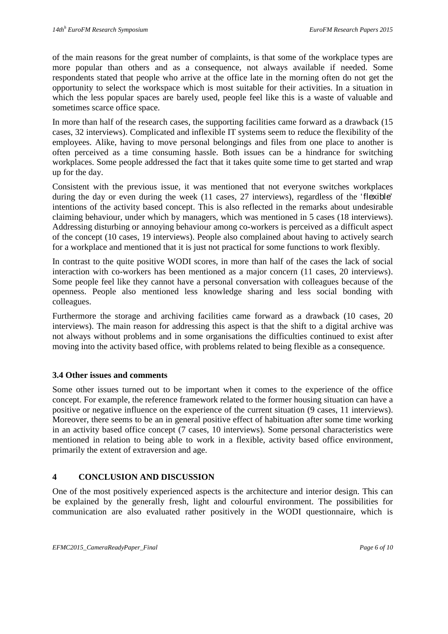of the main reasons for the great number of complaints, is that some of the workplace types are more popular than others and as a consequence, not always available if needed. Some respondents stated that people who arrive at the office late in the morning often do not get the opportunity to select the workspace which is most suitable for their activities. In a situation in which the less popular spaces are barely used, people feel like this is a waste of valuable and sometimes scarce office space.

In more than half of the research cases, the supporting facilities came forward as a drawback (15 cases, 32 interviews). Complicated and inflexible IT systems seem to reduce the flexibility of the employees. Alike, having to move personal belongings and files from one place to another is often perceived as a time consuming hassle. Both issues can be a hindrance for switching workplaces. Some people addressed the fact that it takes quite some time to get started and wrap up for the day.

Consistent with the previous issue, it was mentioned that not everyone switches workplaces during the day or even during the week (11 cases, 27 interviews), regardless of the 'flexible' intentions of the activity based concept. This is also reflected in the remarks about undesirable claiming behaviour, under which by managers, which was mentioned in 5 cases (18 interviews). Addressing disturbing or annoying behaviour among co-workers is perceived as a difficult aspect of the concept (10 cases, 19 interviews). People also complained about having to actively search for a workplace and mentioned that it is just not practical for some functions to work flexibly.

In contrast to the quite positive WODI scores, in more than half of the cases the lack of social interaction with co-workers has been mentioned as a major concern (11 cases, 20 interviews). Some people feel like they cannot have a personal conversation with colleagues because of the openness. People also mentioned less knowledge sharing and less social bonding with colleagues.

Furthermore the storage and archiving facilities came forward as a drawback (10 cases, 20 interviews). The main reason for addressing this aspect is that the shift to a digital archive was not always without problems and in some organisations the difficulties continued to exist after moving into the activity based office, with problems related to being flexible as a consequence.

#### **3.4 Other issues and comments**

Some other issues turned out to be important when it comes to the experience of the office concept. For example, the reference framework related to the former housing situation can have a positive or negative influence on the experience of the current situation (9 cases, 11 interviews). Moreover, there seems to be an in general positive effect of habituation after some time working in an activity based office concept (7 cases, 10 interviews). Some personal characteristics were mentioned in relation to being able to work in a flexible, activity based office environment, primarily the extent of extraversion and age.

#### **4 CONCLUSION AND DISCUSSION**

One of the most positively experienced aspects is the architecture and interior design. This can be explained by the generally fresh, light and colourful environment. The possibilities for communication are also evaluated rather positively in the WODI questionnaire, which is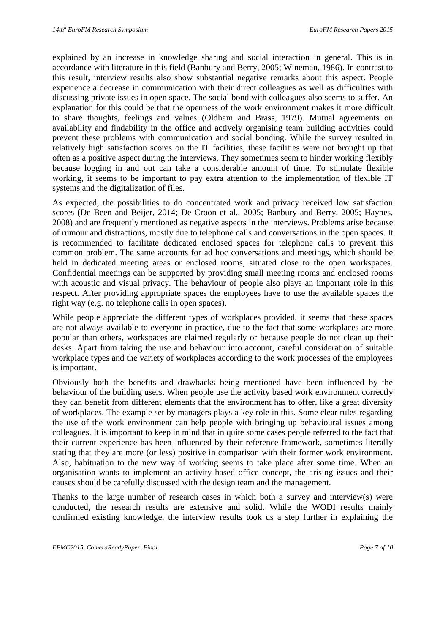explained by an increase in knowledge sharing and social interaction in general. This is in accordance with literature in this field (Banbury and Berry, 2005; Wineman, 1986). In contrast to this result, interview results also show substantial negative remarks about this aspect. People experience a decrease in communication with their direct colleagues as well as difficulties with discussing private issues in open space. The social bond with colleagues also seems to suffer. An explanation for this could be that the openness of the work environment makes it more difficult to share thoughts, feelings and values (Oldham and Brass, 1979). Mutual agreements on availability and findability in the office and actively organising team building activities could prevent these problems with communication and social bonding. While the survey resulted in relatively high satisfaction scores on the IT facilities, these facilities were not brought up that often as a positive aspect during the interviews. They sometimes seem to hinder working flexibly because logging in and out can take a considerable amount of time. To stimulate flexible working, it seems to be important to pay extra attention to the implementation of flexible IT systems and the digitalization of files.

As expected, the possibilities to do concentrated work and privacy received low satisfaction scores (De Been and Beijer, 2014; De Croon et al., 2005; Banbury and Berry, 2005; Haynes, 2008) and are frequently mentioned as negative aspects in the interviews. Problems arise because of rumour and distractions, mostly due to telephone calls and conversations in the open spaces. It is recommended to facilitate dedicated enclosed spaces for telephone calls to prevent this common problem. The same accounts for ad hoc conversations and meetings, which should be held in dedicated meeting areas or enclosed rooms, situated close to the open workspaces. Confidential meetings can be supported by providing small meeting rooms and enclosed rooms with acoustic and visual privacy. The behaviour of people also plays an important role in this respect. After providing appropriate spaces the employees have to use the available spaces the right way (e.g. no telephone calls in open spaces).

While people appreciate the different types of workplaces provided, it seems that these spaces are not always available to everyone in practice, due to the fact that some workplaces are more popular than others, workspaces are claimed regularly or because people do not clean up their desks. Apart from taking the use and behaviour into account, careful consideration of suitable workplace types and the variety of workplaces according to the work processes of the employees is important.

Obviously both the benefits and drawbacks being mentioned have been influenced by the behaviour of the building users. When people use the activity based work environment correctly they can benefit from different elements that the environment has to offer, like a great diversity of workplaces. The example set by managers plays a key role in this. Some clear rules regarding the use of the work environment can help people with bringing up behavioural issues among colleagues. It is important to keep in mind that in quite some cases people referred to the fact that their current experience has been influenced by their reference framework, sometimes literally stating that they are more (or less) positive in comparison with their former work environment. Also, habituation to the new way of working seems to take place after some time. When an organisation wants to implement an activity based office concept, the arising issues and their causes should be carefully discussed with the design team and the management.

Thanks to the large number of research cases in which both a survey and interview(s) were conducted, the research results are extensive and solid. While the WODI results mainly confirmed existing knowledge, the interview results took us a step further in explaining the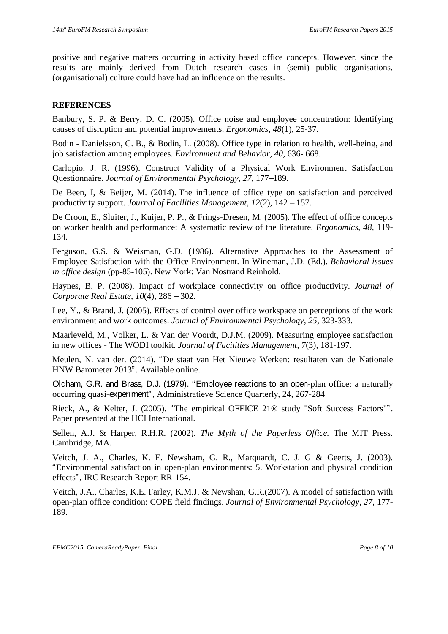positive and negative matters occurring in activity based office concepts. However, since the results are mainly derived from Dutch research cases in (semi) public organisations, (organisational) culture could have had an influence on the results.

#### **REFERENCES**

Banbury, S. P. & Berry, D. C. (2005). Office noise and employee concentration: Identifying causes of disruption and potential improvements. *Ergonomics*, *48*(1), 25-37.

Bodin - Danielsson, C. B., & Bodin, L. (2008). Office type in relation to health, well-being, and job satisfaction among employees. *Environment and Behavior*, *40*, 636- 668.

Carlopio, J. R. (1996). Construct Validity of a Physical Work Environment Satisfaction Questionnaire. *Journal of Environmental Psychology*, *27*, 177–189.

De Been, I, & Beijer, M. (2014). The influence of office type on satisfaction and perceived productivity support. *Journal of Facilities Management, 12*(2), 142 – 157.

De Croon, E., Sluiter, J., Kuijer, P. P., & Frings-Dresen, M. (2005). The effect of office concepts on worker health and performance: A systematic review of the literature. *Ergonomics*, *48*, 119- 134.

Ferguson, G.S. & Weisman, G.D. (1986). Alternative Approaches to the Assessment of Employee Satisfaction with the Office Environment. In Wineman, J.D. (Ed.). *Behavioral issues in office design* (pp-85-105). New York: Van Nostrand Reinhold.

Haynes, B. P. (2008). Impact of workplace connectivity on office productivity. *Journal of Corporate Real Estate*, *10*(4), 286 – 302.

Lee, Y., & Brand, J. (2005). Effects of control over office workspace on perceptions of the work environment and work outcomes. *Journal of Environmental Psychology, 25*, 323-333.

Maarleveld, M., Volker, L. & Van der Voordt, D.J.M. (2009). Measuring employee satisfaction in new offices - The WODI toolkit. *Journal of Facilities Management*, *7*(3), 181-197.

Meulen, N. van der. (2014). "De staat van Het Nieuwe Werken: resultaten van de Nationale HNW Barometer 2013". Available online.

Oldham, G.R. and Brass, D.J. (1979). "Employee reactions to an open-plan office: a naturally occurring quasi-experiment", Administratieve Science Quarterly, 24, 267-284

Rieck, A., & Kelter, J. (2005). "The empirical OFFICE 21® study "Soft Success Factors"". Paper presented at the HCI International.

Sellen, A.J. & Harper, R.H.R. (2002). *The Myth of the Paperless Office.* The MIT Press. Cambridge, MA.

Veitch, J. A., Charles, K. E. Newsham, G. R., Marquardt, C. J. G & Geerts, J. (2003). "Environmental satisfaction in open-plan environments: 5. Workstation and physical condition effects", IRC Research Report RR-154.

Veitch, J.A., Charles, K.E. Farley, K.M.J. & Newshan, G.R.(2007). A model of satisfaction with open-plan office condition: COPE field findings. *Journal of Environmental Psychology, 27,* 177- 189.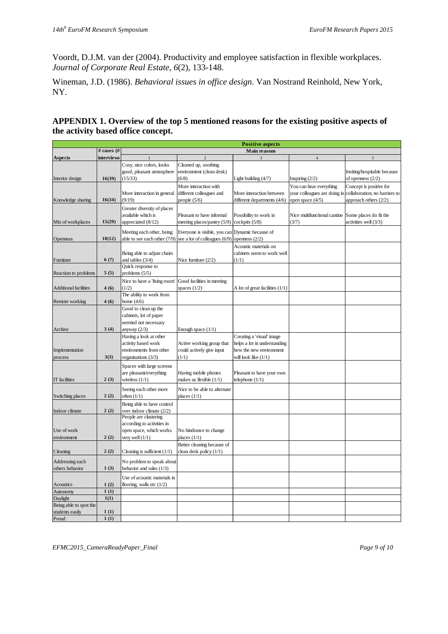Voordt, D.J.M. van der (2004). Productivity and employee satisfaction in flexible workplaces. *Journal of Corporate Real Estate, 6*(2), 133-148.

Wineman, J.D. (1986). *Behavioral issues in office design*. Van Nostrand Reinhold, New York, NY.

#### **APPENDIX 1. Overview of the top 5 mentioned reasons for the existing positive aspects of the activity based office concept.**

|                              |                   | <b>Positive aspects</b>                            |                               |                                 |                              |                               |  |  |  |
|------------------------------|-------------------|----------------------------------------------------|-------------------------------|---------------------------------|------------------------------|-------------------------------|--|--|--|
|                              | # cases $#$       | <b>Main reasons</b>                                |                               |                                 |                              |                               |  |  |  |
| <b>Aspects</b>               | <i>interviews</i> |                                                    | $\mathcal{D}$                 |                                 | $\overline{4}$               | 5                             |  |  |  |
|                              |                   | Cosy, nice colors, looks                           | Cleaned up, soothing          |                                 |                              |                               |  |  |  |
|                              |                   | good, pleasant atmosphere                          | environment (clean desk)      |                                 |                              | Inviting/hospitable because   |  |  |  |
| Interior design              | 16(39)            | (15/33)                                            | (6/8)                         | Light building (4/7)            | Inspiring $(2/2)$            | of openness $(2/2)$           |  |  |  |
|                              |                   |                                                    | More interaction with         |                                 | You can hear everything      | Concept is positive for       |  |  |  |
|                              |                   | More interaction in general                        | different colleagues and      | More interaction between        | your colleagues are doing in | collaboration; no barriers to |  |  |  |
| Knowledge sharing            | 16(34)            | (9/19)                                             | people $(5/6)$                | different departments (4/6)     | open space (4/5)             | approach others $(2/2)$       |  |  |  |
|                              |                   | Greater diversity of places                        |                               |                                 |                              |                               |  |  |  |
|                              |                   | available which is                                 | Pleasant to have informal     | Possibility to work in          | Nice multifunctional cantine | Some places do fit the        |  |  |  |
| Mix of workplaces            | 15(29)            | appreciated (8/12)                                 | meeting places/pantry (5/9)   | cockpits (5/8)                  | (3/7)                        | activities well (3/3)         |  |  |  |
|                              |                   |                                                    |                               |                                 |                              |                               |  |  |  |
|                              |                   | Meeting each other, being                          | Everyone is visible, you can  | Dynamic because of              |                              |                               |  |  |  |
| Openness                     | 10(12)            | able to see each other (7/9)                       | see a lot of colleagues (6/9) | openness $(2/2)$                |                              |                               |  |  |  |
|                              |                   |                                                    |                               | Acoustic materials on           |                              |                               |  |  |  |
|                              |                   | Being able to adjust chairs                        |                               | cabinets seem to work well      |                              |                               |  |  |  |
| Furniture                    | 6(7)              | and tables (3/4)                                   | Nice furniture $(2/2)$        | (1/1)                           |                              |                               |  |  |  |
|                              |                   | Quick response to                                  |                               |                                 |                              |                               |  |  |  |
| Reaction to problems         | 5(5)              | problems $(5/5)$                                   |                               |                                 |                              |                               |  |  |  |
|                              |                   | Nice to have a 'living room'                       | Good facilities in meeting    |                                 |                              |                               |  |  |  |
| <b>Additional facilities</b> | 4(6)              | (1/2)                                              | spaces $(1/2)$                | A lot of great facilities (1/1) |                              |                               |  |  |  |
|                              |                   | The ability to work from                           |                               |                                 |                              |                               |  |  |  |
| Remote working               | 4(6)              | home $(4/6)$                                       |                               |                                 |                              |                               |  |  |  |
|                              |                   | Good to clean up the                               |                               |                                 |                              |                               |  |  |  |
|                              |                   | cabinets, lot of paper                             |                               |                                 |                              |                               |  |  |  |
|                              |                   | seemed not necessary                               |                               |                                 |                              |                               |  |  |  |
| Archive                      | 3(4)              | anyway $(2/3)$                                     | Enough space (1/1)            |                                 |                              |                               |  |  |  |
|                              |                   | Having a look at other                             |                               | Creating a 'visual' image       |                              |                               |  |  |  |
|                              |                   | activity based work                                | Active working group that     | helps a lot in understanding    |                              |                               |  |  |  |
| Implementation               |                   | environments from other                            | could actively give input     | how the new environment         |                              |                               |  |  |  |
| process                      | 3(3)              | organisations (3/3)                                | (1/1)                         | will look like (1/1)            |                              |                               |  |  |  |
|                              |                   | Spaces with large screens                          |                               |                                 |                              |                               |  |  |  |
|                              |                   | are pleasant/everything                            | Having mobile phones          | Pleasant to have your own       |                              |                               |  |  |  |
| IT facilities                | 2(3)              | wireless $(1/1)$                                   | makes us flexible (1/1)       | telephone $(1/1)$               |                              |                               |  |  |  |
|                              |                   | Seeing each other more                             | Nice to be able to alternate  |                                 |                              |                               |  |  |  |
| Switching places             | 2(2)              | often $(1/1)$                                      | places $(1/1)$                |                                 |                              |                               |  |  |  |
|                              |                   |                                                    |                               |                                 |                              |                               |  |  |  |
|                              |                   | Being able to have control                         |                               |                                 |                              |                               |  |  |  |
| Indoor climate               | 2(2)              | over indoor climate (2/2)<br>People are clustering |                               |                                 |                              |                               |  |  |  |
|                              |                   | according to activities in                         |                               |                                 |                              |                               |  |  |  |
| Use of work                  |                   | open space, which works                            | No hindrance to change        |                                 |                              |                               |  |  |  |
| environment                  | 2(2)              | very well $(1/1)$                                  | places $(1/1)$                |                                 |                              |                               |  |  |  |
|                              |                   |                                                    | Better cleaning because of    |                                 |                              |                               |  |  |  |
| Cleaning                     | 2(2)              | Cleaning is sufficient $(1/1)$                     | clean desk policy (1/1)       |                                 |                              |                               |  |  |  |
|                              |                   |                                                    |                               |                                 |                              |                               |  |  |  |
| Addressing each              |                   | No problem to speak about                          |                               |                                 |                              |                               |  |  |  |
| others behavior              | 1(3)              | behavior and rules (1/3)                           |                               |                                 |                              |                               |  |  |  |
|                              |                   | Use of acoustic materials in                       |                               |                                 |                              |                               |  |  |  |
| Acoustics                    | 1(2)              | flooring, walls etc $(1/2)$                        |                               |                                 |                              |                               |  |  |  |
| <b>Autonomy</b>              | 1(1)              |                                                    |                               |                                 |                              |                               |  |  |  |
| Daylight                     | 1(1)              |                                                    |                               |                                 |                              |                               |  |  |  |
| Being able to spot the       |                   |                                                    |                               |                                 |                              |                               |  |  |  |
| students easily              | 1(1)              |                                                    |                               |                                 |                              |                               |  |  |  |
| Proud                        | 1(1)              |                                                    |                               |                                 |                              |                               |  |  |  |

*EFMC2015\_CameraReadyPaper\_Final Page 9 of 10*